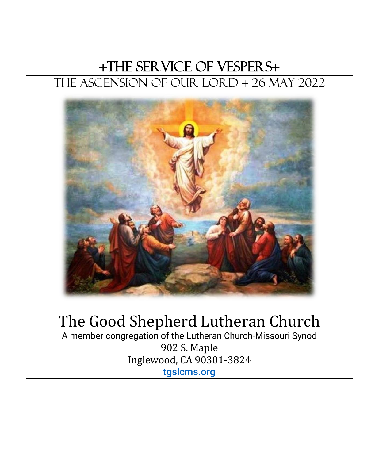# +The Service of Vespers+ The Ascension of Our Lord + 26 May 2022



# The Good Shepherd Lutheran Church

A member congregation of the Lutheran Church-Missouri Synod 902 S. Maple Inglewood, CA 90301-3824 [tgslcms.org](file:///C:/Users/Owner/Downloads/tgslcms.org)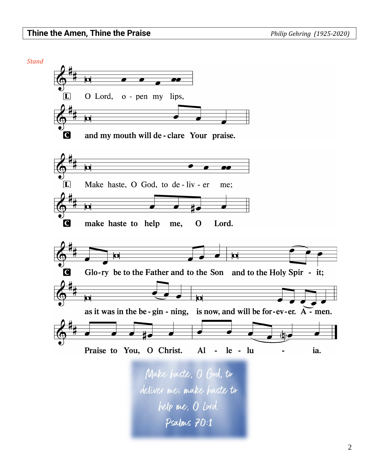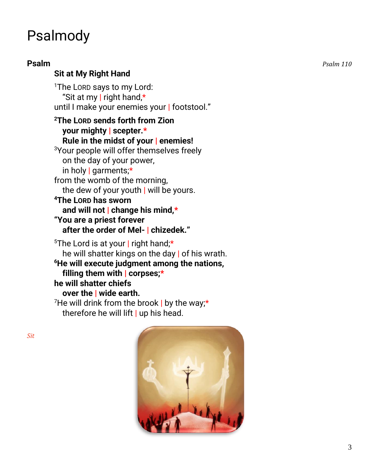# Psalmody

## **Sit at My Right Hand**

<sup>1</sup>The LORD says to my Lord: "Sit at my | right hand,\* until I make your enemies your | footstool."

## **<sup>2</sup>The LORD sends forth from Zion your mighty | scepter.\* Rule in the midst of your | enemies!**

<sup>3</sup>Your people will offer themselves freely on the day of your power, in holy | garments;\* from the womb of the morning,

the dew of your youth | will be yours.

## **<sup>4</sup>The LORD has sworn and will not | change his mind,\* "You are a priest forever after the order of Mel- | chizedek."**

<sup>5</sup>The Lord is at your | right hand;\* he will shatter kings on the day | of his wrath. **<sup>6</sup>He will execute judgment among the nations, filling them with | corpses;\* he will shatter chiefs over the | wide earth.** <sup>7</sup>He will drink from the brook | by the way;\*

therefore he will lift  $|$  up his head.



**Psalm** *Psalm 110*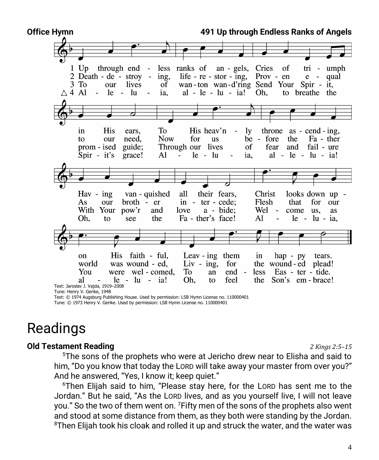| Office Hymn      | 491 Up through Endless Ranks of Angels                                                                                              |            |  |
|------------------|-------------------------------------------------------------------------------------------------------------------------------------|------------|--|
|                  |                                                                                                                                     |            |  |
|                  |                                                                                                                                     |            |  |
|                  |                                                                                                                                     |            |  |
|                  | through end - less ranks of an - gels, Cries of<br>$1$ Up<br>tri                                                                    | - umph     |  |
|                  | life - $re$ - $stor$ - $ing$ ,<br>$2$ Death - de - stroy -<br>Prov - $en$<br>ing,<br>$e -$                                          | qual       |  |
|                  | wan-ton wan-d'ring Send Your Spir - it,<br>lives<br>$3 \text{ To}$<br>of<br>our                                                     |            |  |
| $\triangle$ 4 Al | $-$ le $-$ lu<br>al - $\text{le}$ - $\text{lu}$ - $\text{ia!}$ Oh,<br>$\sim$<br>ia,<br>to breathe the                               |            |  |
|                  |                                                                                                                                     |            |  |
|                  |                                                                                                                                     |            |  |
|                  |                                                                                                                                     |            |  |
|                  |                                                                                                                                     |            |  |
|                  |                                                                                                                                     |            |  |
|                  | His<br>To<br>His heav'n<br>ly<br>throne $as - \text{cend} - ing$ ,<br>in<br>ears,<br>$\sim$                                         |            |  |
|                  | <b>Now</b><br>be - fore<br>need,<br>for<br>the<br><b>us</b><br>to<br>our                                                            | Fa - ther  |  |
|                  | Through our lives<br>of<br>fear<br>prom - ised<br>guide;<br>and                                                                     | fail - ure |  |
|                  | $le - lu$<br>Spir - it's<br>Al<br>al - $le$ - $lu$ - $ia!$<br>grace!<br>ia,<br>$\overline{\phantom{0}}$<br>$\overline{\phantom{a}}$ |            |  |
|                  |                                                                                                                                     |            |  |
|                  |                                                                                                                                     |            |  |
|                  |                                                                                                                                     |            |  |
|                  | ╭                                                                                                                                   |            |  |
|                  |                                                                                                                                     |            |  |
|                  | van - quished<br>all<br>their fears,<br>looks down up -<br>$\text{Hav} - \text{ing}$<br>Christ                                      |            |  |
|                  | broth - er<br>that<br>for<br>As<br>our<br>in - $ter - cede$ ;<br>Flesh                                                              | our        |  |
|                  | and<br>With Your pow'r<br>Wel -<br>love<br>a - bide:<br>come<br>us.                                                                 | as         |  |
|                  | the<br>Oh.<br>Fa - ther's face!<br>Al<br>$le$ - $lu$ - ia,<br>to<br>see<br>$\frac{1}{2}$                                            |            |  |
|                  |                                                                                                                                     |            |  |
|                  |                                                                                                                                     |            |  |
|                  |                                                                                                                                     |            |  |
|                  |                                                                                                                                     |            |  |
|                  |                                                                                                                                     |            |  |
|                  | His faith - ful,<br>Leav - ing them<br>in<br>hap - py tears.<br><sub>on</sub>                                                       |            |  |
|                  | for<br>the wound-ed plead!<br>world<br>was wound - ed,<br>Liv - ing,                                                                |            |  |
|                  | were wel - comed,<br>You<br>To<br>end -<br>less<br>Eas - ter - tide.<br>an                                                          |            |  |
|                  | Oh,<br>al<br>$le - lu - ia!$<br>feel<br>the<br>Son's em - brace!<br>to                                                              |            |  |
|                  | Text: Jaroslav J. Vajda, 1919-2008                                                                                                  |            |  |

Tune: Henry V. Gerike, 1948

Text: © 1974 Augsburg Publishing House. Used by permission: LSB Hymn License no. 110000401 Tune: © 1973 Henry V. Gerike. Used by permission: LSB Hymn License no. 110000401

# Readings

### **Old Testament Reading** *2 Kings 2:5–15*

<sup>5</sup>The sons of the prophets who were at Jericho drew near to Elisha and said to him, "Do you know that today the LORD will take away your master from over you?" And he answered, "Yes, I know it; keep quiet."

<sup>6</sup>Then Elijah said to him, "Please stay here, for the LORD has sent me to the Jordan." But he said, "As the LORD lives, and as you yourself live, I will not leave you." So the two of them went on. <sup>7</sup> Fifty men of the sons of the prophets also went and stood at some distance from them, as they both were standing by the Jordan. <sup>8</sup>Then Elijah took his cloak and rolled it up and struck the water, and the water was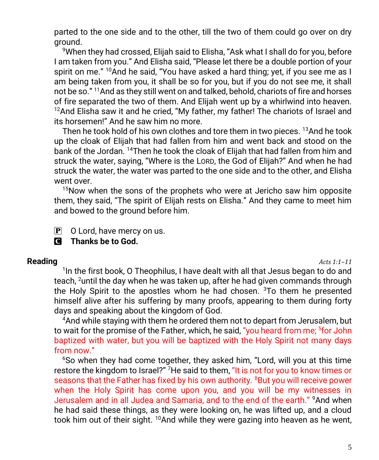parted to the one side and to the other, till the two of them could go over on dry ground.

<sup>9</sup>When they had crossed, Elijah said to Elisha, "Ask what I shall do for you, before I am taken from you." And Elisha said, "Please let there be a double portion of your spirit on me."  $10$ And he said, "You have asked a hard thing; yet, if you see me as I am being taken from you, it shall be so for you, but if you do not see me, it shall not be so." <sup>11</sup>And as they still went on and talked, behold, chariots of fire and horses of fire separated the two of them. And Elijah went up by a whirlwind into heaven.  $12$ And Elisha saw it and he cried, "My father, my father! The chariots of Israel and its horsemen!" And he saw him no more.

Then he took hold of his own clothes and tore them in two pieces. <sup>13</sup>And he took up the cloak of Elijah that had fallen from him and went back and stood on the bank of the Jordan. <sup>14</sup>Then he took the cloak of Elijah that had fallen from him and struck the water, saying, "Where is the LORD, the God of Elijah?" And when he had struck the water, the water was parted to the one side and to the other, and Elisha went over.

<sup>15</sup>Now when the sons of the prophets who were at Jericho saw him opposite them, they said, "The spirit of Elijah rests on Elisha." And they came to meet him and bowed to the ground before him.

 $\mathbf{P}$  O Lord, have mercy on us.

C **Thanks be to God.**

### **Reading** *Acts 1:1–11*

<sup>1</sup>In the first book, O Theophilus, I have dealt with all that Jesus began to do and teach, <sup>2</sup>until the day when he was taken up, after he had given commands through the Holy Spirit to the apostles whom he had chosen. <sup>3</sup>To them he presented himself alive after his suffering by many proofs, appearing to them during forty days and speaking about the kingdom of God.

<sup>4</sup>And while staying with them he ordered them not to depart from Jerusalem, but to wait for the promise of the Father, which, he said, "you heard from me; <sup>5</sup>for John baptized with water, but you will be baptized with the Holy Spirit not many days from now."

<sup>6</sup>So when they had come together, they asked him, "Lord, will you at this time restore the kingdom to Israel?" <sup>7</sup>He said to them, "It is not for you to know times or seasons that the Father has fixed by his own authority. <sup>8</sup>But you will receive power when the Holy Spirit has come upon you, and you will be my witnesses in Jerusalem and in all Judea and Samaria, and to the end of the earth." <sup>9</sup>And when he had said these things, as they were looking on, he was lifted up, and a cloud took him out of their sight.  $10And$  while they were gazing into heaven as he went,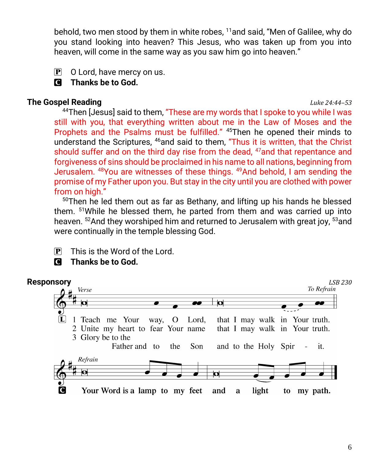behold, two men stood by them in white robes, <sup>11</sup>and said, "Men of Galilee, why do you stand looking into heaven? This Jesus, who was taken up from you into heaven, will come in the same way as you saw him go into heaven."

- $\mathbf{P}$  O Lord, have mercy on us.
- C **Thanks be to God.**

## **The Gospel Reading** *Luke 24:44–53*

<sup>44</sup>Then [Jesus] said to them, "These are my words that I spoke to you while I was still with you, that everything written about me in the Law of Moses and the Prophets and the Psalms must be fulfilled." <sup>45</sup>Then he opened their minds to understand the Scriptures, <sup>46</sup>and said to them, "Thus it is written, that the Christ should suffer and on the third day rise from the dead, <sup>47</sup>and that repentance and forgiveness of sins should be proclaimed in his name to all nations, beginning from Jerusalem. <sup>48</sup>You are witnesses of these things. <sup>49</sup>And behold, I am sending the promise of my Father upon you. But stay in the city until you are clothed with power from on high."

 $50$ Then he led them out as far as Bethany, and lifting up his hands he blessed them. <sup>51</sup>While he blessed them, he parted from them and was carried up into heaven. <sup>52</sup>And they worshiped him and returned to Jerusalem with great joy, <sup>53</sup>and were continually in the temple blessing God.

- $\overline{P}$  This is the Word of the Lord.
- C **Thanks be to God.**

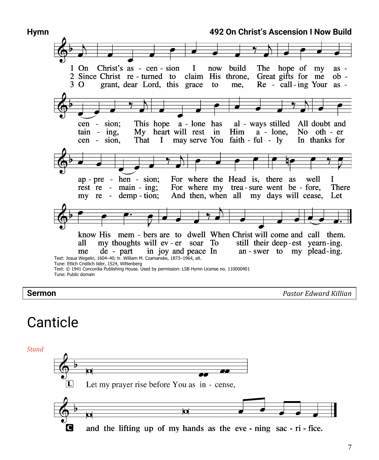

**Sermon** *Pastor Edward Killian*

# Canticle

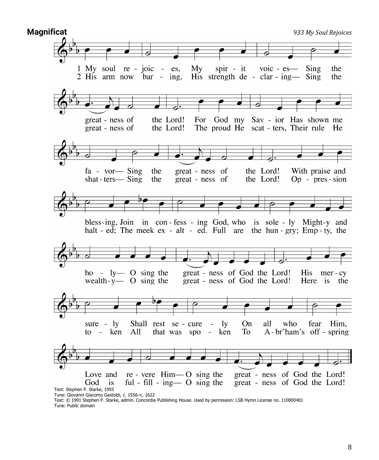

Text: © 1991 Stephen P. Starke, admin. Concordia Publishing House. Used by permission: LSB Hymn License no. 110000401 Tune: Public domain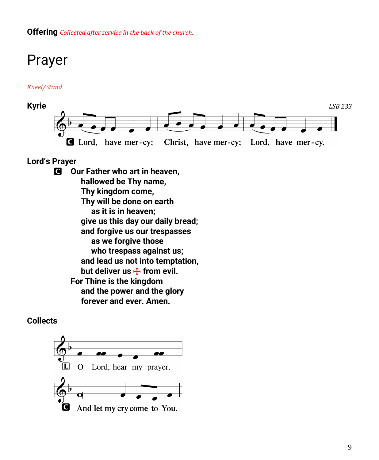**Offering** *Collected after service in the back of the church.*

# Prayer

### *Kneel/Stand*



### **Lord's Prayer**

C **Our Father who art in heaven, hallowed be Thy name, Thy kingdom come, Thy will be done on earth as it is in heaven; give us this day our daily bread; and forgive us our trespasses as we forgive those who trespass against us; and lead us not into temptation,** but deliver us  $\mathbf{F}$  from evil. **For Thine is the kingdom and the power and the glory forever and ever. Amen.**

### **Collects**

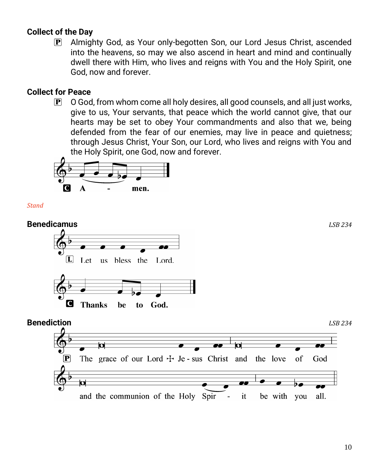## **Collect of the Day**

P Almighty God, as Your only-begotten Son, our Lord Jesus Christ, ascended into the heavens, so may we also ascend in heart and mind and continually dwell there with Him, who lives and reigns with You and the Holy Spirit, one God, now and forever.

## **Collect for Peace**

 $\mathbf{P}$  O God, from whom come all holy desires, all good counsels, and all just works, give to us, Your servants, that peace which the world cannot give, that our hearts may be set to obey Your commandments and also that we, being defended from the fear of our enemies, may live in peace and quietness; through Jesus Christ, Your Son, our Lord, who lives and reigns with You and the Holy Spirit, one God, now and forever.



*Stand*

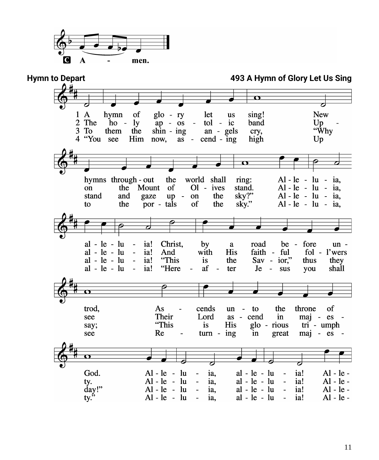